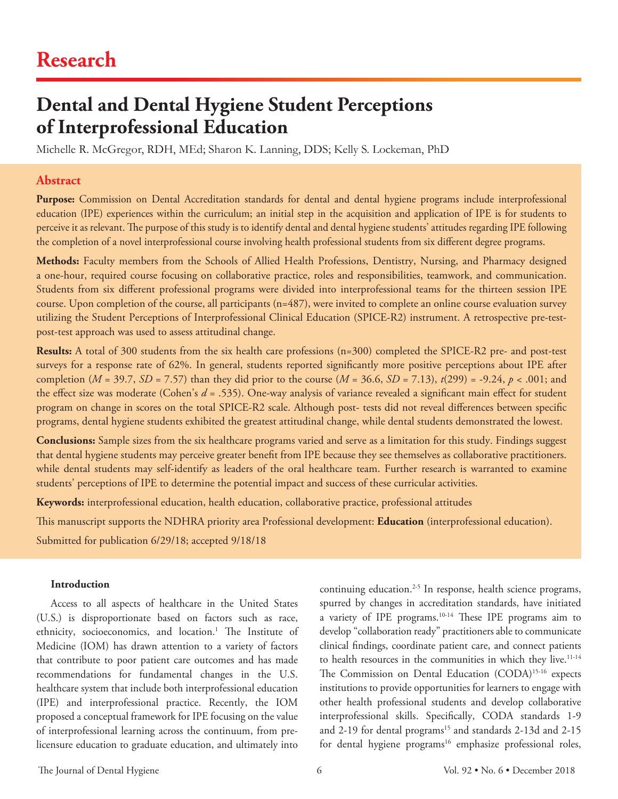# **Research**

# **Dental and Dental Hygiene Student Perceptions of Interprofessional Education**

Michelle R. McGregor, RDH, MEd; Sharon K. Lanning, DDS; Kelly S. Lockeman, PhD

### **Abstract**

Purpose: Commission on Dental Accreditation standards for dental and dental hygiene programs include interprofessional education (IPE) experiences within the curriculum; an initial step in the acquisition and application of IPE is for students to perceive it as relevant. The purpose of this study is to identify dental and dental hygiene students' attitudes regarding IPE following the completion of a novel interprofessional course involving health professional students from six different degree programs.

**Methods:** Faculty members from the Schools of Allied Health Professions, Dentistry, Nursing, and Pharmacy designed a one-hour, required course focusing on collaborative practice, roles and responsibilities, teamwork, and communication. Students from six different professional programs were divided into interprofessional teams for the thirteen session IPE course. Upon completion of the course, all participants (n=487), were invited to complete an online course evaluation survey utilizing the Student Perceptions of Interprofessional Clinical Education (SPICE-R2) instrument. A retrospective pre-testpost-test approach was used to assess attitudinal change.

**Results:** A total of 300 students from the six health care professions (n=300) completed the SPICE-R2 pre- and post-test surveys for a response rate of 62%. In general, students reported significantly more positive perceptions about IPE after completion (*M* = 39.7, *SD* = 7.57) than they did prior to the course (*M* = 36.6, *SD* = 7.13), *t*(299) = -9.24, *p* < .001; and the effect size was moderate (Cohen's *d* = .535). One-way analysis of variance revealed a significant main effect for student program on change in scores on the total SPICE-R2 scale. Although post- tests did not reveal differences between specific programs, dental hygiene students exhibited the greatest attitudinal change, while dental students demonstrated the lowest.

**Conclusions:** Sample sizes from the six healthcare programs varied and serve as a limitation for this study. Findings suggest that dental hygiene students may perceive greater benefit from IPE because they see themselves as collaborative practitioners. while dental students may self-identify as leaders of the oral healthcare team. Further research is warranted to examine students' perceptions of IPE to determine the potential impact and success of these curricular activities.

**Keywords:** interprofessional education, health education, collaborative practice, professional attitudes

This manuscript supports the NDHRA priority area Professional development: **Education** (interprofessional education).

Submitted for publication 6/29/18; accepted 9/18/18

#### **Introduction**

Access to all aspects of healthcare in the United States (U.S.) is disproportionate based on factors such as race, ethnicity, socioeconomics, and location.<sup>1</sup> The Institute of Medicine (IOM) has drawn attention to a variety of factors that contribute to poor patient care outcomes and has made recommendations for fundamental changes in the U.S. healthcare system that include both interprofessional education (IPE) and interprofessional practice. Recently, the IOM proposed a conceptual framework for IPE focusing on the value of interprofessional learning across the continuum, from prelicensure education to graduate education, and ultimately into continuing education.2-5 In response, health science programs, spurred by changes in accreditation standards, have initiated a variety of IPE programs.10-14 These IPE programs aim to develop "collaboration ready" practitioners able to communicate clinical findings, coordinate patient care, and connect patients to health resources in the communities in which they live.<sup>11-14</sup> The Commission on Dental Education (CODA)<sup>15-16</sup> expects institutions to provide opportunities for learners to engage with other health professional students and develop collaborative interprofessional skills. Specifically, CODA standards 1-9 and 2-19 for dental programs<sup>15</sup> and standards 2-13d and 2-15 for dental hygiene programs<sup>16</sup> emphasize professional roles,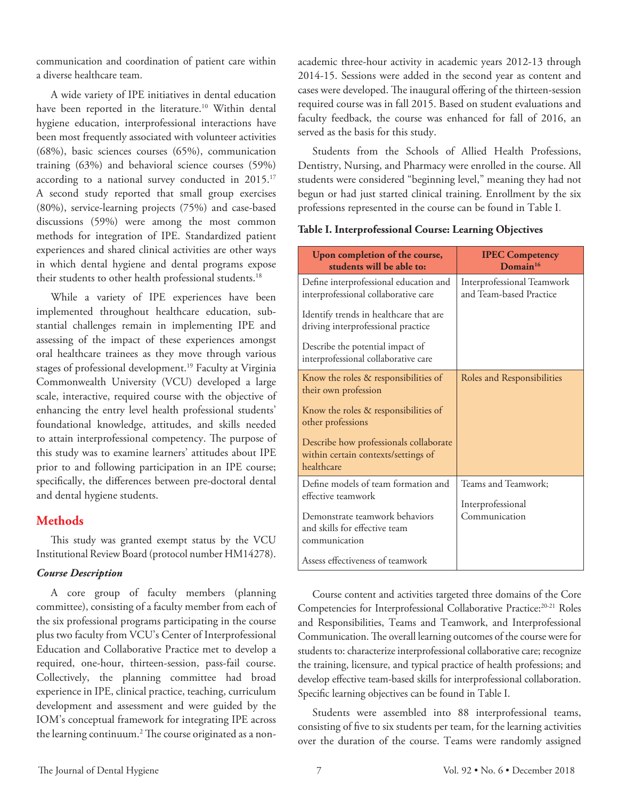communication and coordination of patient care within a diverse healthcare team.

A wide variety of IPE initiatives in dental education have been reported in the literature.<sup>10</sup> Within dental hygiene education, interprofessional interactions have been most frequently associated with volunteer activities (68%), basic sciences courses (65%), communication training (63%) and behavioral science courses (59%) according to a national survey conducted in 2015.<sup>17</sup> A second study reported that small group exercises (80%), service-learning projects (75%) and case-based discussions (59%) were among the most common methods for integration of IPE. Standardized patient experiences and shared clinical activities are other ways in which dental hygiene and dental programs expose their students to other health professional students.<sup>18</sup>

While a variety of IPE experiences have been implemented throughout healthcare education, substantial challenges remain in implementing IPE and assessing of the impact of these experiences amongst oral healthcare trainees as they move through various stages of professional development.19 Faculty at Virginia Commonwealth University (VCU) developed a large scale, interactive, required course with the objective of enhancing the entry level health professional students' foundational knowledge, attitudes, and skills needed to attain interprofessional competency. The purpose of this study was to examine learners' attitudes about IPE prior to and following participation in an IPE course; specifically, the differences between pre-doctoral dental and dental hygiene students.

## **Methods**

This study was granted exempt status by the VCU Institutional Review Board (protocol number HM14278).

#### *Course Description*

A core group of faculty members (planning committee), consisting of a faculty member from each of the six professional programs participating in the course plus two faculty from VCU's Center of Interprofessional Education and Collaborative Practice met to develop a required, one-hour, thirteen-session, pass-fail course. Collectively, the planning committee had broad experience in IPE, clinical practice, teaching, curriculum development and assessment and were guided by the IOM's conceptual framework for integrating IPE across the learning continuum.2 The course originated as a nonacademic three-hour activity in academic years 2012-13 through 2014-15. Sessions were added in the second year as content and cases were developed. The inaugural offering of the thirteen-session required course was in fall 2015. Based on student evaluations and faculty feedback, the course was enhanced for fall of 2016, an served as the basis for this study.

Students from the Schools of Allied Health Professions, Dentistry, Nursing, and Pharmacy were enrolled in the course. All students were considered "beginning level," meaning they had not begun or had just started clinical training. Enrollment by the six professions represented in the course can be found in Table I.

#### **Table I. Interprofessional Course: Learning Objectives**

| Upon completion of the course,<br>students will be able to:                                 | <b>IPEC Competency</b><br>Domain <sup>16</sup>        |
|---------------------------------------------------------------------------------------------|-------------------------------------------------------|
| Define interprofessional education and<br>interprofessional collaborative care              | Interprofessional Teamwork<br>and Team-based Practice |
| Identify trends in healthcare that are<br>driving interprofessional practice                |                                                       |
| Describe the potential impact of<br>interprofessional collaborative care                    |                                                       |
| Know the roles & responsibilities of<br>their own profession                                | Roles and Responsibilities                            |
| Know the roles & responsibilities of<br>other professions                                   |                                                       |
| Describe how professionals collaborate<br>within certain contexts/settings of<br>healthcare |                                                       |
| Define models of team formation and                                                         | Teams and Teamwork;                                   |
| effective teamwork                                                                          | Interprofessional                                     |
| Demonstrate teamwork behaviors                                                              | Communication                                         |
| and skills for effective team<br>communication                                              |                                                       |
| Assess effectiveness of teamwork                                                            |                                                       |

Course content and activities targeted three domains of the Core Competencies for Interprofessional Collaborative Practice:20-21 Roles and Responsibilities, Teams and Teamwork, and Interprofessional Communication. The overall learning outcomes of the course were for students to: characterize interprofessional collaborative care; recognize the training, licensure, and typical practice of health professions; and develop effective team‐based skills for interprofessional collaboration. Specific learning objectives can be found in Table I.

Students were assembled into 88 interprofessional teams, consisting of five to six students per team, for the learning activities over the duration of the course. Teams were randomly assigned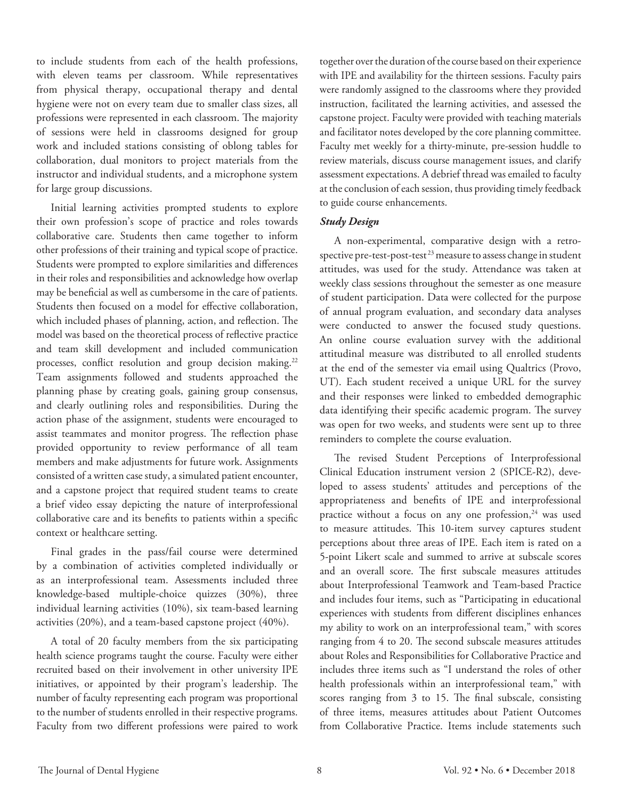to include students from each of the health professions, with eleven teams per classroom. While representatives from physical therapy, occupational therapy and dental hygiene were not on every team due to smaller class sizes, all professions were represented in each classroom. The majority of sessions were held in classrooms designed for group work and included stations consisting of oblong tables for collaboration, dual monitors to project materials from the instructor and individual students, and a microphone system for large group discussions.

Initial learning activities prompted students to explore their own profession's scope of practice and roles towards collaborative care. Students then came together to inform other professions of their training and typical scope of practice. Students were prompted to explore similarities and differences in their roles and responsibilities and acknowledge how overlap may be beneficial as well as cumbersome in the care of patients. Students then focused on a model for effective collaboration, which included phases of planning, action, and reflection. The model was based on the theoretical process of reflective practice and team skill development and included communication processes, conflict resolution and group decision making.<sup>22</sup> Team assignments followed and students approached the planning phase by creating goals, gaining group consensus, and clearly outlining roles and responsibilities. During the action phase of the assignment, students were encouraged to assist teammates and monitor progress. The reflection phase provided opportunity to review performance of all team members and make adjustments for future work. Assignments consisted of a written case study, a simulated patient encounter, and a capstone project that required student teams to create a brief video essay depicting the nature of interprofessional collaborative care and its benefits to patients within a specific context or healthcare setting.

Final grades in the pass/fail course were determined by a combination of activities completed individually or as an interprofessional team. Assessments included three knowledge-based multiple-choice quizzes (30%), three individual learning activities (10%), six team-based learning activities (20%), and a team-based capstone project (40%).

A total of 20 faculty members from the six participating health science programs taught the course. Faculty were either recruited based on their involvement in other university IPE initiatives, or appointed by their program's leadership. The number of faculty representing each program was proportional to the number of students enrolled in their respective programs. Faculty from two different professions were paired to work together over the duration of the course based on their experience with IPE and availability for the thirteen sessions. Faculty pairs were randomly assigned to the classrooms where they provided instruction, facilitated the learning activities, and assessed the capstone project. Faculty were provided with teaching materials and facilitator notes developed by the core planning committee. Faculty met weekly for a thirty-minute, pre-session huddle to review materials, discuss course management issues, and clarify assessment expectations. A debrief thread was emailed to faculty at the conclusion of each session, thus providing timely feedback to guide course enhancements.

### *Study Design*

A non-experimental, comparative design with a retrospective pre-test-post-test  $^{23}$  measure to assess change in student attitudes, was used for the study. Attendance was taken at weekly class sessions throughout the semester as one measure of student participation. Data were collected for the purpose of annual program evaluation, and secondary data analyses were conducted to answer the focused study questions. An online course evaluation survey with the additional attitudinal measure was distributed to all enrolled students at the end of the semester via email using Qualtrics (Provo, UT). Each student received a unique URL for the survey and their responses were linked to embedded demographic data identifying their specific academic program. The survey was open for two weeks, and students were sent up to three reminders to complete the course evaluation.

The revised Student Perceptions of Interprofessional Clinical Education instrument version 2 (SPICE-R2), developed to assess students' attitudes and perceptions of the appropriateness and benefits of IPE and interprofessional practice without a focus on any one profession,<sup>24</sup> was used to measure attitudes. This 10-item survey captures student perceptions about three areas of IPE. Each item is rated on a 5-point Likert scale and summed to arrive at subscale scores and an overall score. The first subscale measures attitudes about Interprofessional Teamwork and Team-based Practice and includes four items, such as "Participating in educational experiences with students from different disciplines enhances my ability to work on an interprofessional team," with scores ranging from 4 to 20. The second subscale measures attitudes about Roles and Responsibilities for Collaborative Practice and includes three items such as "I understand the roles of other health professionals within an interprofessional team," with scores ranging from 3 to 15. The final subscale, consisting of three items, measures attitudes about Patient Outcomes from Collaborative Practice. Items include statements such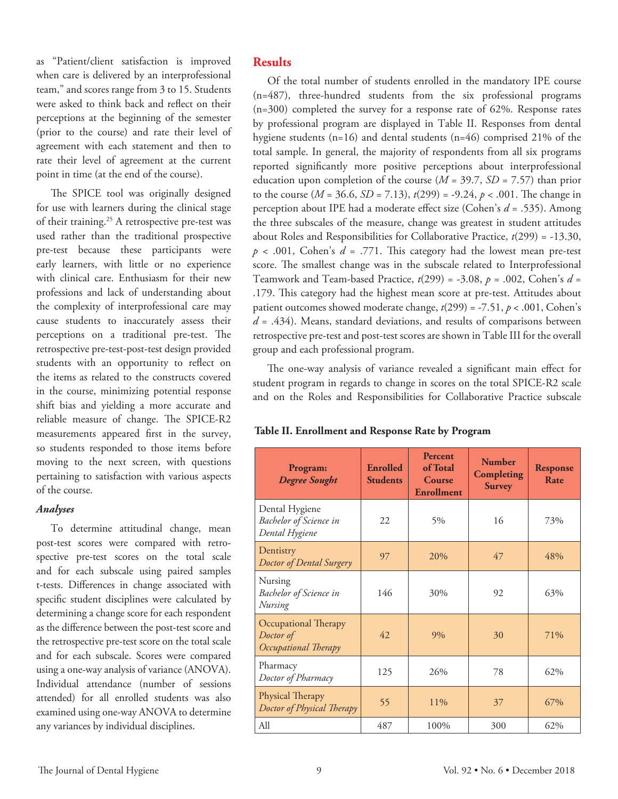as "Patient/client satisfaction is improved when care is delivered by an interprofessional team," and scores range from 3 to 15. Students were asked to think back and reflect on their perceptions at the beginning of the semester (prior to the course) and rate their level of agreement with each statement and then to rate their level of agreement at the current point in time (at the end of the course).

The SPICE tool was originally designed for use with learners during the clinical stage of their training.<sup>25</sup> A retrospective pre-test was used rather than the traditional prospective pre-test because these participants were early learners, with little or no experience with clinical care. Enthusiasm for their new professions and lack of understanding about the complexity of interprofessional care may cause students to inaccurately assess their perceptions on a traditional pre-test. The retrospective pre-test-post-test design provided students with an opportunity to reflect on the items as related to the constructs covered in the course, minimizing potential response shift bias and yielding a more accurate and reliable measure of change. The SPICE-R2 measurements appeared first in the survey, so students responded to those items before moving to the next screen, with questions pertaining to satisfaction with various aspects of the course.

#### *Analyses*

To determine attitudinal change, mean post-test scores were compared with retrospective pre-test scores on the total scale and for each subscale using paired samples t-tests. Differences in change associated with specific student disciplines were calculated by determining a change score for each respondent as the difference between the post-test score and the retrospective pre-test score on the total scale and for each subscale. Scores were compared using a one-way analysis of variance (ANOVA). Individual attendance (number of sessions attended) for all enrolled students was also examined using one-way ANOVA to determine any variances by individual disciplines.

## **Results**

Of the total number of students enrolled in the mandatory IPE course (n=487), three-hundred students from the six professional programs (n=300) completed the survey for a response rate of 62%. Response rates by professional program are displayed in Table II. Responses from dental hygiene students (n=16) and dental students (n=46) comprised 21% of the total sample. In general, the majority of respondents from all six programs reported significantly more positive perceptions about interprofessional education upon completion of the course (*M* = 39.7, *SD* = 7.57) than prior to the course (*M* = 36.6, *SD* = 7.13), *t*(299) = -9.24, *p* < .001. The change in perception about IPE had a moderate effect size (Cohen's *d* = .535). Among the three subscales of the measure, change was greatest in student attitudes about Roles and Responsibilities for Collaborative Practice, *t*(299) = -13.30,  $p$  < .001, Cohen's  $d = .771$ . This category had the lowest mean pre-test score. The smallest change was in the subscale related to Interprofessional Teamwork and Team-based Practice, *t*(299) = -3.08, *p* = .002, Cohen's *d* = .179. This category had the highest mean score at pre-test. Attitudes about patient outcomes showed moderate change, *t*(299) = -7.51, *p* < .001, Cohen's *d* = .434). Means, standard deviations, and results of comparisons between retrospective pre-test and post-test scores are shown in Table III for the overall group and each professional program.

The one-way analysis of variance revealed a significant main effect for student program in regards to change in scores on the total SPICE-R2 scale and on the Roles and Responsibilities for Collaborative Practice subscale

| Table II. Enrollment and Response Rate by Program |  |  |  |  |  |  |  |  |  |  |  |  |  |  |
|---------------------------------------------------|--|--|--|--|--|--|--|--|--|--|--|--|--|--|
|---------------------------------------------------|--|--|--|--|--|--|--|--|--|--|--|--|--|--|

| Program:<br><b>Degree Sought</b>                                  | <b>Enrolled</b><br><b>Students</b> | <b>Percent</b><br>of Total<br>Course<br><b>Enrollment</b> | <b>Number</b><br>Completing<br><b>Survey</b> | <b>Response</b><br>Rate |
|-------------------------------------------------------------------|------------------------------------|-----------------------------------------------------------|----------------------------------------------|-------------------------|
| Dental Hygiene<br><b>Bachelor</b> of Science in<br>Dental Hygiene | 22                                 | 5%                                                        | 16                                           | 73%                     |
| Dentistry<br>Doctor of Dental Surgery                             | 97                                 | 20%                                                       | 47                                           | 48%                     |
| Nursing<br><b>Bachelor</b> of Science in<br>Nursing               | 146                                | 30%                                                       | 92                                           | 63%                     |
| Occupational Therapy<br>Doctor of<br>Occupational Therapy         | 42.                                | 9%                                                        | 30                                           | 71%                     |
| Pharmacy<br>Doctor of Pharmacy                                    | 125                                | 26%                                                       | 78                                           | 62%                     |
| Physical Therapy<br>Doctor of Physical Therapy                    | 55                                 | 11%                                                       | 37                                           | 67%                     |
| All                                                               | 487                                | 100%                                                      | 300                                          | 62%                     |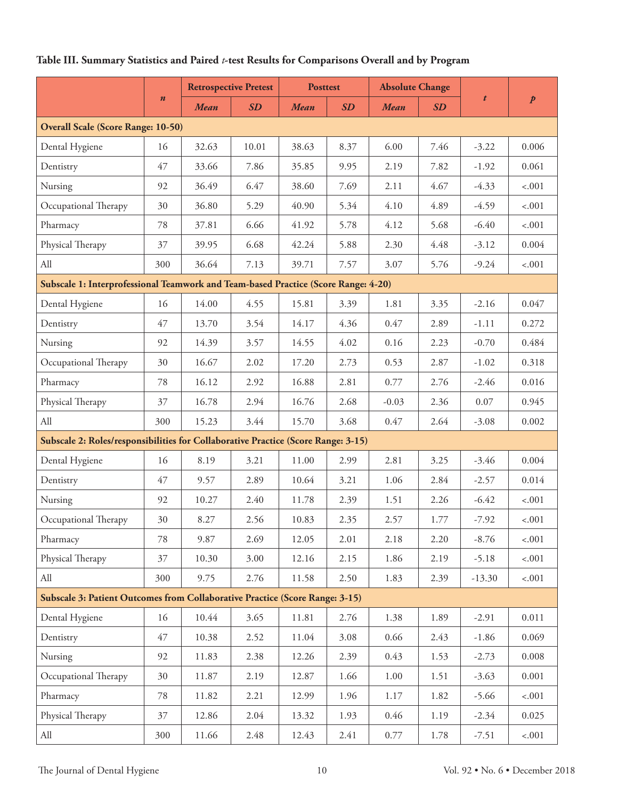# **Table III. Summary Statistics and Paired** *t***-test Results for Comparisons Overall and by Program**

|                                                                                    |     | <b>Retrospective Pretest</b> |           | <b>Posttest</b> |      | <b>Absolute Change</b> |           |           |                  |
|------------------------------------------------------------------------------------|-----|------------------------------|-----------|-----------------|------|------------------------|-----------|-----------|------------------|
| $\boldsymbol{n}$                                                                   |     | <b>Mean</b>                  | <b>SD</b> | <b>Mean</b>     | SD   | <b>Mean</b>            | <b>SD</b> | $\pmb{t}$ | $\boldsymbol{p}$ |
| <b>Overall Scale (Score Range: 10-50)</b>                                          |     |                              |           |                 |      |                        |           |           |                  |
| Dental Hygiene                                                                     | 16  | 32.63                        | 10.01     | 38.63           | 8.37 | 6.00                   | 7.46      | $-3.22$   | 0.006            |
| Dentistry                                                                          | 47  | 33.66                        | 7.86      | 35.85           | 9.95 | 2.19                   | 7.82      | $-1.92$   | 0.061            |
| Nursing                                                                            | 92  | 36.49                        | 6.47      | 38.60           | 7.69 | 2.11                   | 4.67      | $-4.33$   | $-.001$          |
| Occupational Therapy                                                               | 30  | 36.80                        | 5.29      | 40.90           | 5.34 | 4.10                   | 4.89      | $-4.59$   | $-.001$          |
| Pharmacy                                                                           | 78  | 37.81                        | 6.66      | 41.92           | 5.78 | 4.12                   | 5.68      | $-6.40$   | $-.001$          |
| Physical Therapy                                                                   | 37  | 39.95                        | 6.68      | 42.24           | 5.88 | 2.30                   | 4.48      | $-3.12$   | 0.004            |
| All                                                                                | 300 | 36.64                        | 7.13      | 39.71           | 7.57 | 3.07                   | 5.76      | $-9.24$   | $-.001$          |
| Subscale 1: Interprofessional Teamwork and Team-based Practice (Score Range: 4-20) |     |                              |           |                 |      |                        |           |           |                  |
| Dental Hygiene                                                                     | 16  | 14.00                        | 4.55      | 15.81           | 3.39 | 1.81                   | 3.35      | $-2.16$   | 0.047            |
| Dentistry                                                                          | 47  | 13.70                        | 3.54      | 14.17           | 4.36 | 0.47                   | 2.89      | $-1.11$   | 0.272            |
| Nursing                                                                            | 92  | 14.39                        | 3.57      | 14.55           | 4.02 | 0.16                   | 2.23      | $-0.70$   | 0.484            |
| Occupational Therapy                                                               | 30  | 16.67                        | 2.02      | 17.20           | 2.73 | 0.53                   | 2.87      | $-1.02$   | 0.318            |
| Pharmacy                                                                           | 78  | 16.12                        | 2.92      | 16.88           | 2.81 | 0.77                   | 2.76      | $-2.46$   | 0.016            |
| Physical Therapy                                                                   | 37  | 16.78                        | 2.94      | 16.76           | 2.68 | $-0.03$                | 2.36      | 0.07      | 0.945            |
| All                                                                                | 300 | 15.23                        | 3.44      | 15.70           | 3.68 | 0.47                   | 2.64      | $-3.08$   | 0.002            |
| Subscale 2: Roles/responsibilities for Collaborative Practice (Score Range: 3-15)  |     |                              |           |                 |      |                        |           |           |                  |
| Dental Hygiene                                                                     | 16  | 8.19                         | 3.21      | 11.00           | 2.99 | 2.81                   | 3.25      | $-3.46$   | 0.004            |
| Dentistry                                                                          | 47  | 9.57                         | 2.89      | 10.64           | 3.21 | 1.06                   | 2.84      | $-2.57$   | 0.014            |
| Nursing                                                                            | 92  | 10.27                        | 2.40      | 11.78           | 2.39 | 1.51                   | 2.26      | $-6.42$   | $-.001$          |
| Occupational Therapy                                                               | 30  | 8.27                         | 2.56      | 10.83           | 2.35 | 2.57                   | 1.77      | $-7.92$   | $-.001$          |
| Pharmacy                                                                           | 78  | 9.87                         | 2.69      | 12.05           | 2.01 | 2.18                   | 2.20      | $-8.76$   | $-.001$          |
| Physical Therapy                                                                   | 37  | 10.30                        | 3.00      | 12.16           | 2.15 | 1.86                   | 2.19      | $-5.18$   | $-.001$          |
| All                                                                                | 300 | 9.75                         | 2.76      | 11.58           | 2.50 | 1.83                   | 2.39      | $-13.30$  | $-.001$          |
| Subscale 3: Patient Outcomes from Collaborative Practice (Score Range: 3-15)       |     |                              |           |                 |      |                        |           |           |                  |
| Dental Hygiene                                                                     | 16  | 10.44                        | 3.65      | 11.81           | 2.76 | 1.38                   | 1.89      | $-2.91$   | 0.011            |
| Dentistry                                                                          | 47  | 10.38                        | 2.52      | 11.04           | 3.08 | 0.66                   | 2.43      | $-1.86$   | 0.069            |
| Nursing                                                                            | 92  | 11.83                        | 2.38      | 12.26           | 2.39 | 0.43                   | 1.53      | $-2.73$   | 0.008            |
| Occupational Therapy                                                               | 30  | 11.87                        | 2.19      | 12.87           | 1.66 | 1.00                   | 1.51      | $-3.63$   | 0.001            |
| Pharmacy                                                                           | 78  | 11.82                        | 2.21      | 12.99           | 1.96 | 1.17                   | 1.82      | $-5.66$   | $-.001$          |
| Physical Therapy                                                                   | 37  | 12.86                        | 2.04      | 13.32           | 1.93 | 0.46                   | 1.19      | $-2.34$   | 0.025            |
| All                                                                                | 300 | 11.66                        | 2.48      | 12.43           | 2.41 | 0.77                   | 1.78      | $-7.51$   | $-.001$          |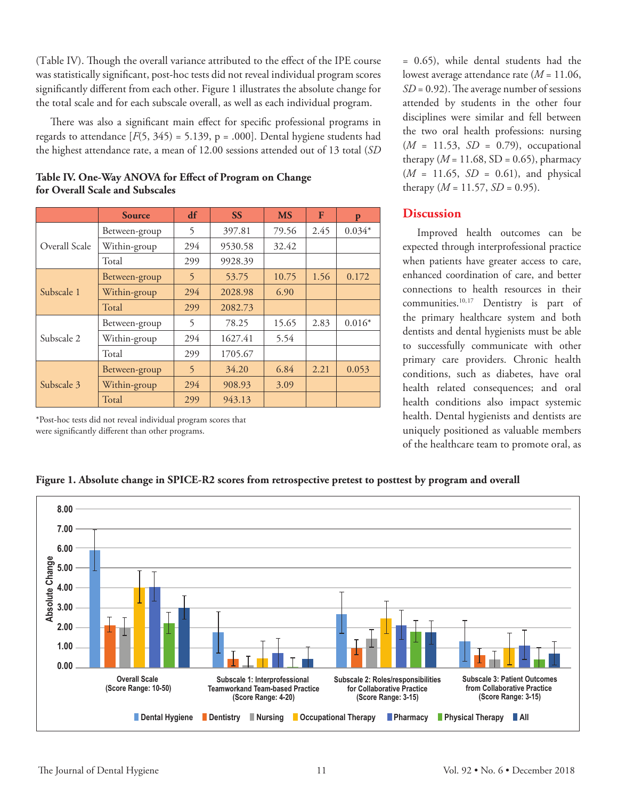(Table IV). Though the overall variance attributed to the effect of the IPE course was statistically significant, post-hoc tests did not reveal individual program scores significantly different from each other. Figure 1 illustrates the absolute change for the total scale and for each subscale overall, as well as each individual program.

There was also a significant main effect for specific professional programs in regards to attendance  $[F(5, 345) = 5.139, p = .000]$ . Dental hygiene students had the highest attendance rate, a mean of 12.00 sessions attended out of 13 total (*SD*

|               | <b>Source</b> | df             | <b>SS</b> | <b>MS</b> | F    | p        |
|---------------|---------------|----------------|-----------|-----------|------|----------|
|               | Between-group | 5              | 397.81    | 79.56     | 2.45 | $0.034*$ |
| Overall Scale | Within-group  | 294            | 9530.58   | 32.42     |      |          |
|               | Total         | 299            | 9928.39   |           |      |          |
|               | Between-group | 5              | 53.75     | 10.75     | 1.56 | 0.172    |
| Subscale 1    | Within-group  | 294            | 2028.98   | 6.90      |      |          |
|               | Total         | 299            | 2082.73   |           |      |          |
| Subscale 2    | Between-group | 5              | 78.25     | 15.65     | 2.83 | $0.016*$ |
|               | Within-group  | 294            | 1627.41   | 5.54      |      |          |
|               | Total         | 299            | 1705.67   |           |      |          |
| Subscale 3    | Between-group | $\overline{5}$ | 34.20     | 6.84      | 2.21 | 0.053    |
|               | Within-group  | 294            | 908.93    | 3.09      |      |          |
|               | Total         | 299            | 943.13    |           |      |          |

## **Table IV. One-Way ANOVA for Effect of Program on Change for Overall Scale and Subscales**

\*Post-hoc tests did not reveal individual program scores that were significantly different than other programs.

= 0.65), while dental students had the lowest average attendance rate (*M* = 11.06, *SD* = 0.92). The average number of sessions attended by students in the other four disciplines were similar and fell between the two oral health professions: nursing (*M* = 11.53, *SD* = 0.79), occupational therapy ( $M = 11.68$ , SD = 0.65), pharmacy (*M* = 11.65, *SD* = 0.61), and physical therapy  $(M = 11.57, SD = 0.95)$ .

## **Discussion**

Improved health outcomes can be expected through interprofessional practice when patients have greater access to care, enhanced coordination of care, and better connections to health resources in their communities.10,17 Dentistry is part of the primary healthcare system and both dentists and dental hygienists must be able to successfully communicate with other primary care providers. Chronic health conditions, such as diabetes, have oral health related consequences; and oral health conditions also impact systemic health. Dental hygienists and dentists are uniquely positioned as valuable members of the healthcare team to promote oral, as



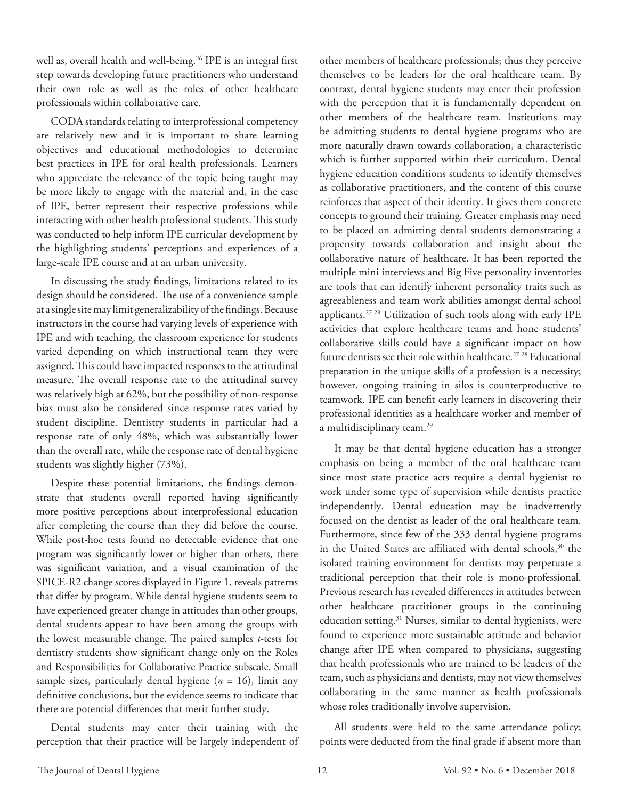well as, overall health and well-being.<sup>26</sup> IPE is an integral first step towards developing future practitioners who understand their own role as well as the roles of other healthcare professionals within collaborative care.

CODA standards relating to interprofessional competency are relatively new and it is important to share learning objectives and educational methodologies to determine best practices in IPE for oral health professionals. Learners who appreciate the relevance of the topic being taught may be more likely to engage with the material and, in the case of IPE, better represent their respective professions while interacting with other health professional students. This study was conducted to help inform IPE curricular development by the highlighting students' perceptions and experiences of a large-scale IPE course and at an urban university.

In discussing the study findings, limitations related to its design should be considered. The use of a convenience sample at a single site may limit generalizability of the findings. Because instructors in the course had varying levels of experience with IPE and with teaching, the classroom experience for students varied depending on which instructional team they were assigned. This could have impacted responses to the attitudinal measure. The overall response rate to the attitudinal survey was relatively high at 62%, but the possibility of non-response bias must also be considered since response rates varied by student discipline. Dentistry students in particular had a response rate of only 48%, which was substantially lower than the overall rate, while the response rate of dental hygiene students was slightly higher (73%).

Despite these potential limitations, the findings demonstrate that students overall reported having significantly more positive perceptions about interprofessional education after completing the course than they did before the course. While post-hoc tests found no detectable evidence that one program was significantly lower or higher than others, there was significant variation, and a visual examination of the SPICE-R2 change scores displayed in Figure 1, reveals patterns that differ by program. While dental hygiene students seem to have experienced greater change in attitudes than other groups, dental students appear to have been among the groups with the lowest measurable change. The paired samples *t*-tests for dentistry students show significant change only on the Roles and Responsibilities for Collaborative Practice subscale. Small sample sizes, particularly dental hygiene (*n* = 16), limit any definitive conclusions, but the evidence seems to indicate that there are potential differences that merit further study.

Dental students may enter their training with the perception that their practice will be largely independent of other members of healthcare professionals; thus they perceive themselves to be leaders for the oral healthcare team. By contrast, dental hygiene students may enter their profession with the perception that it is fundamentally dependent on other members of the healthcare team. Institutions may be admitting students to dental hygiene programs who are more naturally drawn towards collaboration, a characteristic which is further supported within their curriculum. Dental hygiene education conditions students to identify themselves as collaborative practitioners, and the content of this course reinforces that aspect of their identity. It gives them concrete concepts to ground their training. Greater emphasis may need to be placed on admitting dental students demonstrating a propensity towards collaboration and insight about the collaborative nature of healthcare. It has been reported the multiple mini interviews and Big Five personality inventories are tools that can identify inherent personality traits such as agreeableness and team work abilities amongst dental school applicants.27-28 Utilization of such tools along with early IPE activities that explore healthcare teams and hone students' collaborative skills could have a significant impact on how future dentists see their role within healthcare.27-28 Educational preparation in the unique skills of a profession is a necessity; however, ongoing training in silos is counterproductive to teamwork. IPE can benefit early learners in discovering their professional identities as a healthcare worker and member of a multidisciplinary team.29

It may be that dental hygiene education has a stronger emphasis on being a member of the oral healthcare team since most state practice acts require a dental hygienist to work under some type of supervision while dentists practice independently. Dental education may be inadvertently focused on the dentist as leader of the oral healthcare team. Furthermore, since few of the 333 dental hygiene programs in the United States are affiliated with dental schools,<sup>30</sup> the isolated training environment for dentists may perpetuate a traditional perception that their role is mono-professional. Previous research has revealed differences in attitudes between other healthcare practitioner groups in the continuing education setting.<sup>31</sup> Nurses, similar to dental hygienists, were found to experience more sustainable attitude and behavior change after IPE when compared to physicians, suggesting that health professionals who are trained to be leaders of the team, such as physicians and dentists, may not view themselves collaborating in the same manner as health professionals whose roles traditionally involve supervision.

All students were held to the same attendance policy; points were deducted from the final grade if absent more than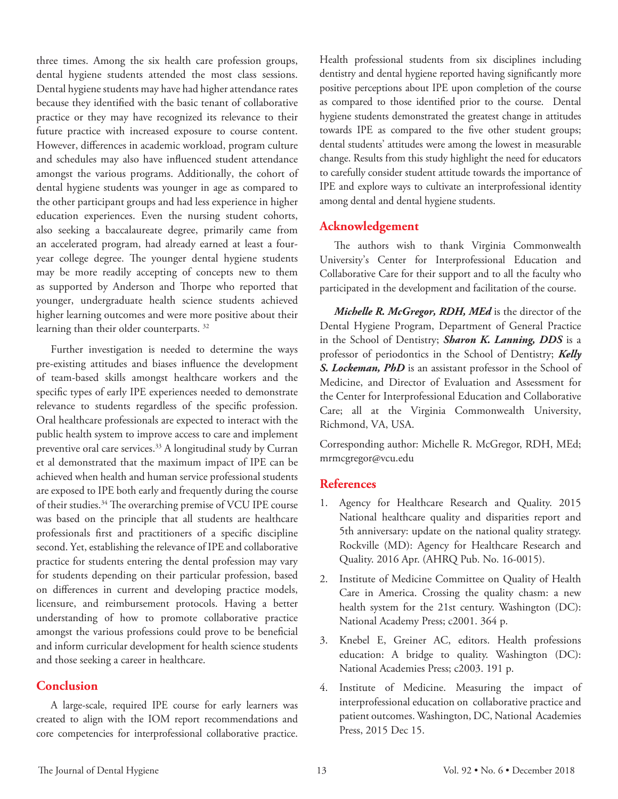three times. Among the six health care profession groups, dental hygiene students attended the most class sessions. Dental hygiene students may have had higher attendance rates because they identified with the basic tenant of collaborative practice or they may have recognized its relevance to their future practice with increased exposure to course content. However, differences in academic workload, program culture and schedules may also have influenced student attendance amongst the various programs. Additionally, the cohort of dental hygiene students was younger in age as compared to the other participant groups and had less experience in higher education experiences. Even the nursing student cohorts, also seeking a baccalaureate degree, primarily came from an accelerated program, had already earned at least a fouryear college degree. The younger dental hygiene students may be more readily accepting of concepts new to them as supported by Anderson and Thorpe who reported that younger, undergraduate health science students achieved higher learning outcomes and were more positive about their learning than their older counterparts. 32

Further investigation is needed to determine the ways pre-existing attitudes and biases influence the development of team-based skills amongst healthcare workers and the specific types of early IPE experiences needed to demonstrate relevance to students regardless of the specific profession. Oral healthcare professionals are expected to interact with the public health system to improve access to care and implement preventive oral care services.<sup>33</sup> A longitudinal study by Curran et al demonstrated that the maximum impact of IPE can be achieved when health and human service professional students are exposed to IPE both early and frequently during the course of their studies.34 The overarching premise of VCU IPE course was based on the principle that all students are healthcare professionals first and practitioners of a specific discipline second. Yet, establishing the relevance of IPE and collaborative practice for students entering the dental profession may vary for students depending on their particular profession, based on differences in current and developing practice models, licensure, and reimbursement protocols. Having a better understanding of how to promote collaborative practice amongst the various professions could prove to be beneficial and inform curricular development for health science students and those seeking a career in healthcare.

## **Conclusion**

A large-scale, required IPE course for early learners was created to align with the IOM report recommendations and core competencies for interprofessional collaborative practice. Health professional students from six disciplines including dentistry and dental hygiene reported having significantly more positive perceptions about IPE upon completion of the course as compared to those identified prior to the course. Dental hygiene students demonstrated the greatest change in attitudes towards IPE as compared to the five other student groups; dental students' attitudes were among the lowest in measurable change. Results from this study highlight the need for educators to carefully consider student attitude towards the importance of IPE and explore ways to cultivate an interprofessional identity among dental and dental hygiene students.

## **Acknowledgement**

The authors wish to thank Virginia Commonwealth University's Center for Interprofessional Education and Collaborative Care for their support and to all the faculty who participated in the development and facilitation of the course.

*Michelle R. McGregor, RDH, MEd* is the director of the Dental Hygiene Program, Department of General Practice in the School of Dentistry; *Sharon K. Lanning, DDS* is a professor of periodontics in the School of Dentistry; *Kelly S. Lockeman, PhD* is an assistant professor in the School of Medicine, and Director of Evaluation and Assessment for the Center for Interprofessional Education and Collaborative Care; all at the Virginia Commonwealth University, Richmond, VA, USA.

Corresponding author: Michelle R. McGregor, RDH, MEd; mrmcgregor@vcu.edu

## **References**

- 1. Agency for Healthcare Research and Quality. 2015 National healthcare quality and disparities report and 5th anniversary: update on the national quality strategy. Rockville (MD): Agency for Healthcare Research and Quality. 2016 Apr. (AHRQ Pub. No. 16-0015).
- 2. Institute of Medicine Committee on Quality of Health Care in America. Crossing the quality chasm: a new health system for the 21st century. Washington (DC): National Academy Press; c2001. 364 p.
- 3. Knebel E, Greiner AC, editors. Health professions education: A bridge to quality. Washington (DC): National Academies Press; c2003. 191 p.
- 4. Institute of Medicine. Measuring the impact of interprofessional education on collaborative practice and patient outcomes. Washington, DC, National Academies Press, 2015 Dec 15.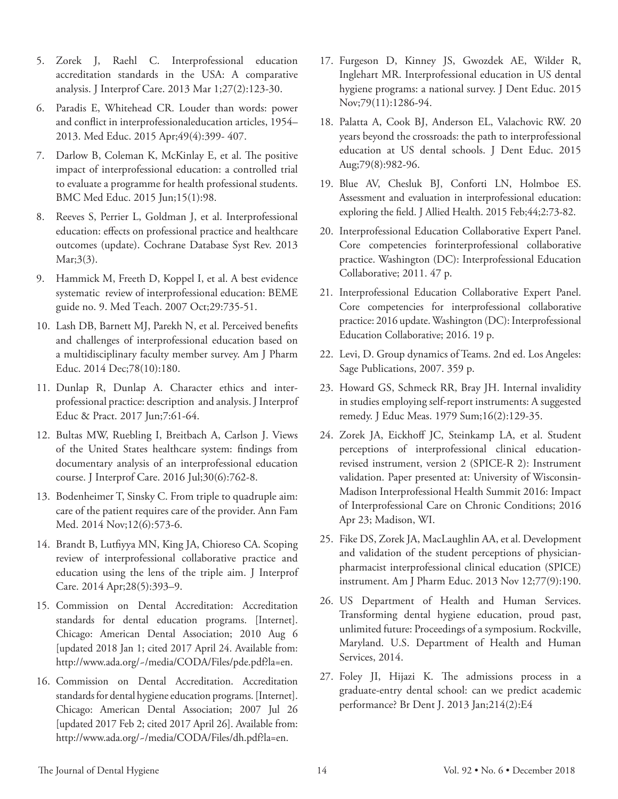- 5. Zorek J, Raehl C. Interprofessional education accreditation standards in the USA: A comparative analysis. J Interprof Care. 2013 Mar 1;27(2):123-30.
- 6. Paradis E, Whitehead CR. Louder than words: power and conflict in interprofessionaleducation articles, 1954– 2013. Med Educ. 2015 Apr;49(4):399- 407.
- 7. Darlow B, Coleman K, McKinlay E, et al. The positive impact of interprofessional education: a controlled trial to evaluate a programme for health professional students. BMC Med Educ. 2015 Jun;15(1):98.
- 8. Reeves S, Perrier L, Goldman J, et al. Interprofessional education: effects on professional practice and healthcare outcomes (update). Cochrane Database Syst Rev. 2013 Mar;3(3).
- 9. Hammick M, Freeth D, Koppel I, et al. A best evidence systematic review of interprofessional education: BEME guide no. 9. Med Teach. 2007 Oct;29:735-51.
- 10. Lash DB, Barnett MJ, Parekh N, et al. Perceived benefits and challenges of interprofessional education based on a multidisciplinary faculty member survey. Am J Pharm Educ. 2014 Dec;78(10):180.
- 11. Dunlap R, Dunlap A. Character ethics and interprofessional practice: description and analysis. J Interprof Educ & Pract. 2017 Jun;7:61-64.
- 12. Bultas MW, Ruebling I, Breitbach A, Carlson J. Views of the United States healthcare system: findings from documentary analysis of an interprofessional education course. J Interprof Care. 2016 Jul;30(6):762-8.
- 13. Bodenheimer T, Sinsky C. From triple to quadruple aim: care of the patient requires care of the provider. Ann Fam Med. 2014 Nov;12(6):573-6.
- 14. Brandt B, Lutfiyya MN, King JA, Chioreso CA. Scoping review of interprofessional collaborative practice and education using the lens of the triple aim. J Interprof Care. 2014 Apr;28(5):393–9.
- 15. Commission on Dental Accreditation: Accreditation standards for dental education programs. [Internet]. Chicago: American Dental Association; 2010 Aug 6 [updated 2018 Jan 1; cited 2017 April 24. Available from: http://www.ada.org/~/media/CODA/Files/pde.pdf?la=en.
- 16. Commission on Dental Accreditation. Accreditation standards for dental hygiene education programs. [Internet]. Chicago: American Dental Association; 2007 Jul 26 [updated 2017 Feb 2; cited 2017 April 26]. Available from: http://www.ada.org/~/media/CODA/Files/dh.pdf?la=en.
- 17. Furgeson D, Kinney JS, Gwozdek AE, Wilder R, Inglehart MR. Interprofessional education in US dental hygiene programs: a national survey. J Dent Educ. 2015 Nov;79(11):1286-94.
- 18. Palatta A, Cook BJ, Anderson EL, Valachovic RW. 20 years beyond the crossroads: the path to interprofessional education at US dental schools. J Dent Educ. 2015 Aug;79(8):982-96.
- 19. Blue AV, Chesluk BJ, Conforti LN, Holmboe ES. Assessment and evaluation in interprofessional education: exploring the field. J Allied Health. 2015 Feb;44;2:73-82.
- 20. Interprofessional Education Collaborative Expert Panel. Core competencies forinterprofessional collaborative practice. Washington (DC): Interprofessional Education Collaborative; 2011. 47 p.
- 21. Interprofessional Education Collaborative Expert Panel. Core competencies for interprofessional collaborative practice: 2016 update. Washington (DC): Interprofessional Education Collaborative; 2016. 19 p.
- 22. Levi, D. Group dynamics of Teams. 2nd ed. Los Angeles: Sage Publications, 2007. 359 p.
- 23. Howard GS, Schmeck RR, Bray JH. Internal invalidity in studies employing self‐report instruments: A suggested remedy. J Educ Meas. 1979 Sum;16(2):129-35.
- 24. Zorek JA, Eickhoff JC, Steinkamp LA, et al. Student perceptions of interprofessional clinical educationrevised instrument, version 2 (SPICE-R 2): Instrument validation. Paper presented at: University of Wisconsin-Madison Interprofessional Health Summit 2016: Impact of Interprofessional Care on Chronic Conditions; 2016 Apr 23; Madison, WI.
- 25. Fike DS, Zorek JA, MacLaughlin AA, et al. Development and validation of the student perceptions of physicianpharmacist interprofessional clinical education (SPICE) instrument. Am J Pharm Educ. 2013 Nov 12;77(9):190.
- 26. US Department of Health and Human Services. Transforming dental hygiene education, proud past, unlimited future: Proceedings of a symposium. Rockville, Maryland. U.S. Department of Health and Human Services, 2014.
- 27. Foley JI, Hijazi K. The admissions process in a graduate-entry dental school: can we predict academic performance? Br Dent J. 2013 Jan;214(2):E4